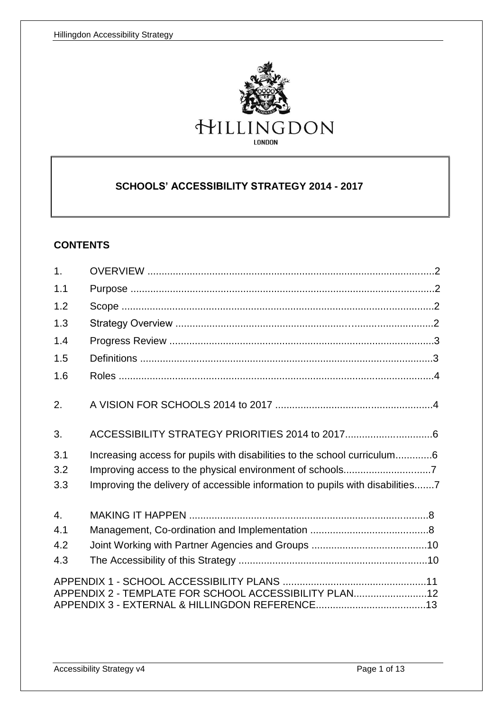

# **SCHOOLS' ACCESSIBILITY STRATEGY 2014 - 2017**

### **CONTENTS**

| 1.                |                                                                                                                                                           |  |
|-------------------|-----------------------------------------------------------------------------------------------------------------------------------------------------------|--|
| 1.1               |                                                                                                                                                           |  |
| 1.2               |                                                                                                                                                           |  |
| 1.3               |                                                                                                                                                           |  |
| 1.4               |                                                                                                                                                           |  |
| 1.5               |                                                                                                                                                           |  |
| 1.6               |                                                                                                                                                           |  |
| 2.                |                                                                                                                                                           |  |
| 3.                |                                                                                                                                                           |  |
| 3.1<br>3.2<br>3.3 | Increasing access for pupils with disabilities to the school curriculum6<br>Improving the delivery of accessible information to pupils with disabilities7 |  |
| $\overline{4}$ .  |                                                                                                                                                           |  |
| 4.1               |                                                                                                                                                           |  |
| 4.2               |                                                                                                                                                           |  |
| 4.3               |                                                                                                                                                           |  |
|                   | APPENDIX 2 - TEMPLATE FOR SCHOOL ACCESSIBILITY PLAN12                                                                                                     |  |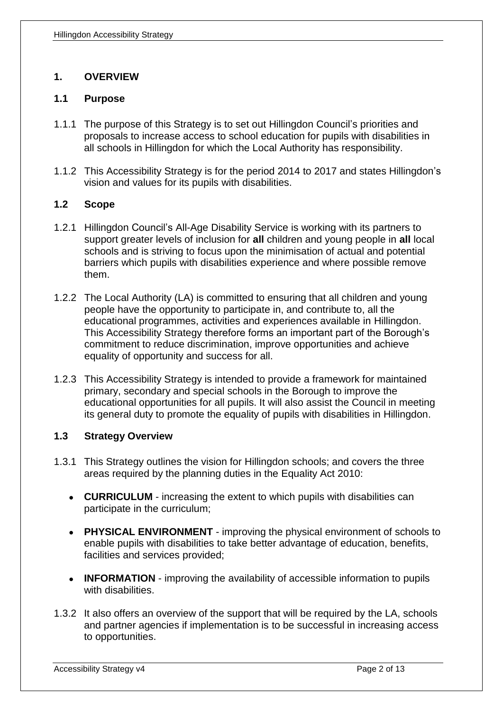## **1. OVERVIEW**

### **1.1 Purpose**

- 1.1.1 The purpose of this Strategy is to set out Hillingdon Council's priorities and proposals to increase access to school education for pupils with disabilities in all schools in Hillingdon for which the Local Authority has responsibility.
- 1.1.2 This Accessibility Strategy is for the period 2014 to 2017 and states Hillingdon's vision and values for its pupils with disabilities.

### **1.2 Scope**

- 1.2.1 Hillingdon Council's All-Age Disability Service is working with its partners to support greater levels of inclusion for **all** children and young people in **all** local schools and is striving to focus upon the minimisation of actual and potential barriers which pupils with disabilities experience and where possible remove them.
- 1.2.2 The Local Authority (LA) is committed to ensuring that all children and young people have the opportunity to participate in, and contribute to, all the educational programmes, activities and experiences available in Hillingdon. This Accessibility Strategy therefore forms an important part of the Borough's commitment to reduce discrimination, improve opportunities and achieve equality of opportunity and success for all.
- 1.2.3 This Accessibility Strategy is intended to provide a framework for maintained primary, secondary and special schools in the Borough to improve the educational opportunities for all pupils. It will also assist the Council in meeting its general duty to promote the equality of pupils with disabilities in Hillingdon.

## **1.3 Strategy Overview**

- 1.3.1 This Strategy outlines the vision for Hillingdon schools; and covers the three areas required by the planning duties in the Equality Act 2010:
	- **CURRICULUM** increasing the extent to which pupils with disabilities can participate in the curriculum;
	- **PHYSICAL ENVIRONMENT** improving the physical environment of schools to enable pupils with disabilities to take better advantage of education, benefits, facilities and services provided;
	- **INFORMATION** improving the availability of accessible information to pupils with disabilities.
- 1.3.2 It also offers an overview of the support that will be required by the LA, schools and partner agencies if implementation is to be successful in increasing access to opportunities.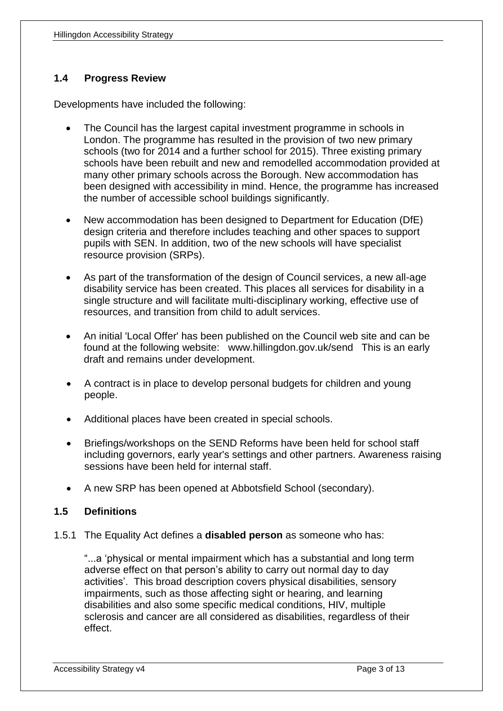## **1.4 Progress Review**

Developments have included the following:

- The Council has the largest capital investment programme in schools in London. The programme has resulted in the provision of two new primary schools (two for 2014 and a further school for 2015). Three existing primary schools have been rebuilt and new and remodelled accommodation provided at many other primary schools across the Borough. New accommodation has been designed with accessibility in mind. Hence, the programme has increased the number of accessible school buildings significantly.
- New accommodation has been designed to Department for Education (DfE) design criteria and therefore includes teaching and other spaces to support pupils with SEN. In addition, two of the new schools will have specialist resource provision (SRPs).
- As part of the transformation of the design of Council services, a new all-age disability service has been created. This places all services for disability in a single structure and will facilitate multi-disciplinary working, effective use of resources, and transition from child to adult services.
- An initial 'Local Offer' has been published on the Council web site and can be found at the following website: www.hillingdon.gov.uk/send This is an early draft and remains under development.
- A contract is in place to develop personal budgets for children and young people.
- Additional places have been created in special schools.
- Briefings/workshops on the SEND Reforms have been held for school staff including governors, early year's settings and other partners. Awareness raising sessions have been held for internal staff.
- A new SRP has been opened at Abbotsfield School (secondary).

## **1.5 Definitions**

1.5.1 The Equality Act defines a **disabled person** as someone who has:

"...a 'physical or mental impairment which has a substantial and long term adverse effect on that person's ability to carry out normal day to day activities'. This broad description covers physical disabilities, sensory impairments, such as those affecting sight or hearing, and learning disabilities and also some specific medical conditions, HIV, multiple sclerosis and cancer are all considered as disabilities, regardless of their effect.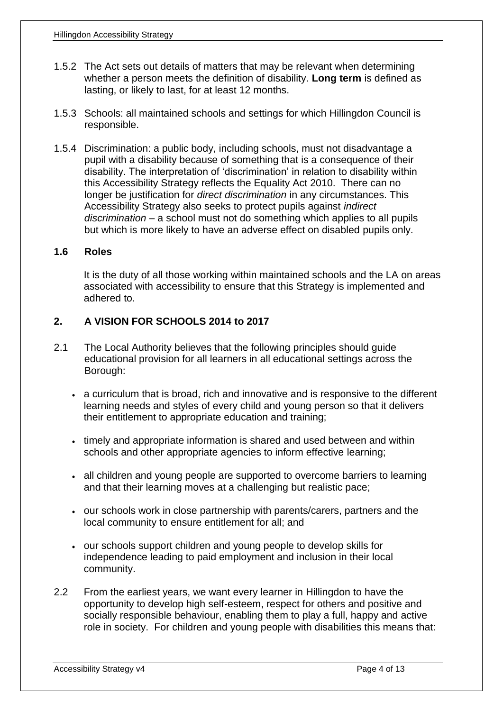- 1.5.2 The Act sets out details of matters that may be relevant when determining whether a person meets the definition of disability. **Long term** is defined as lasting, or likely to last, for at least 12 months.
- 1.5.3 Schools: all maintained schools and settings for which Hillingdon Council is responsible.
- 1.5.4 Discrimination: a public body, including schools, must not disadvantage a pupil with a disability because of something that is a consequence of their disability. The interpretation of 'discrimination' in relation to disability within this Accessibility Strategy reflects the Equality Act 2010. There can no longer be justification for *direct discrimination* in any circumstances. This Accessibility Strategy also seeks to protect pupils against *indirect discrimination* – a school must not do something which applies to all pupils but which is more likely to have an adverse effect on disabled pupils only.

### **1.6 Roles**

It is the duty of all those working within maintained schools and the LA on areas associated with accessibility to ensure that this Strategy is implemented and adhered to.

### **2. A VISION FOR SCHOOLS 2014 to 2017**

- 2.1 The Local Authority believes that the following principles should guide educational provision for all learners in all educational settings across the Borough:
	- a curriculum that is broad, rich and innovative and is responsive to the different learning needs and styles of every child and young person so that it delivers their entitlement to appropriate education and training;
	- timely and appropriate information is shared and used between and within schools and other appropriate agencies to inform effective learning;
	- all children and young people are supported to overcome barriers to learning and that their learning moves at a challenging but realistic pace;
	- our schools work in close partnership with parents/carers, partners and the local community to ensure entitlement for all; and
	- our schools support children and young people to develop skills for independence leading to paid employment and inclusion in their local community.
- 2.2 From the earliest years, we want every learner in Hillingdon to have the opportunity to develop high self-esteem, respect for others and positive and socially responsible behaviour, enabling them to play a full, happy and active role in society. For children and young people with disabilities this means that: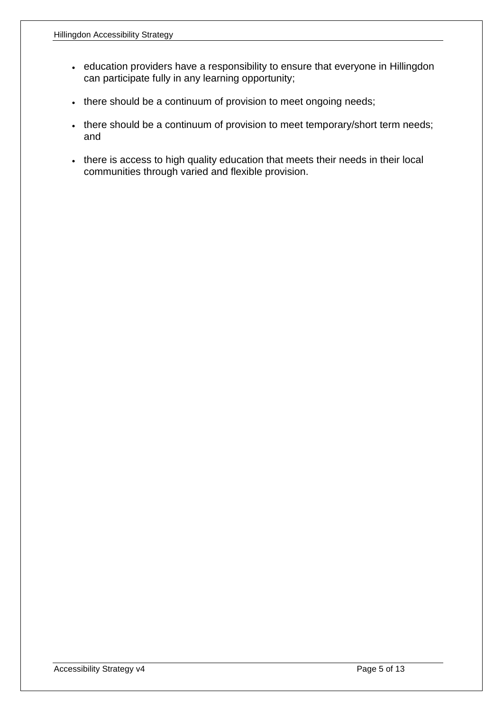- education providers have a responsibility to ensure that everyone in Hillingdon can participate fully in any learning opportunity;
- there should be a continuum of provision to meet ongoing needs;
- there should be a continuum of provision to meet temporary/short term needs; and
- there is access to high quality education that meets their needs in their local communities through varied and flexible provision.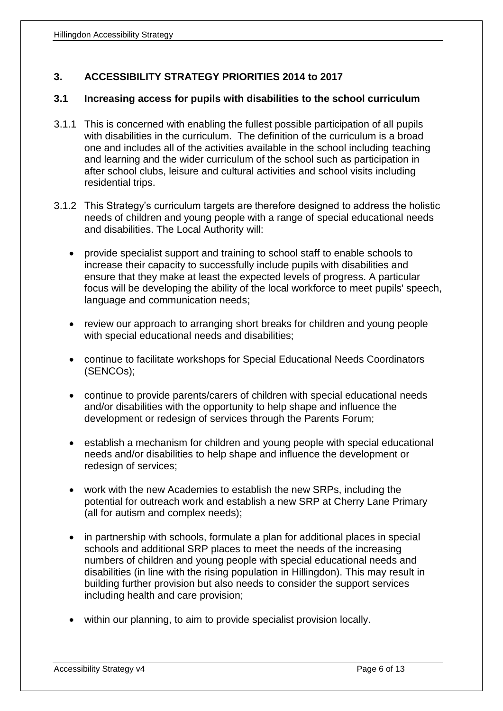# **3. ACCESSIBILITY STRATEGY PRIORITIES 2014 to 2017**

### **3.1 Increasing access for pupils with disabilities to the school curriculum**

- 3.1.1 This is concerned with enabling the fullest possible participation of all pupils with disabilities in the curriculum. The definition of the curriculum is a broad one and includes all of the activities available in the school including teaching and learning and the wider curriculum of the school such as participation in after school clubs, leisure and cultural activities and school visits including residential trips.
- 3.1.2 This Strategy's curriculum targets are therefore designed to address the holistic needs of children and young people with a range of special educational needs and disabilities. The Local Authority will:
	- provide specialist support and training to school staff to enable schools to increase their capacity to successfully include pupils with disabilities and ensure that they make at least the expected levels of progress. A particular focus will be developing the ability of the local workforce to meet pupils' speech, language and communication needs;
	- review our approach to arranging short breaks for children and young people with special educational needs and disabilities;
	- continue to facilitate workshops for Special Educational Needs Coordinators (SENCOs);
	- continue to provide parents/carers of children with special educational needs and/or disabilities with the opportunity to help shape and influence the development or redesign of services through the Parents Forum;
	- establish a mechanism for children and young people with special educational needs and/or disabilities to help shape and influence the development or redesign of services;
	- work with the new Academies to establish the new SRPs, including the potential for outreach work and establish a new SRP at Cherry Lane Primary (all for autism and complex needs);
	- in partnership with schools, formulate a plan for additional places in special schools and additional SRP places to meet the needs of the increasing numbers of children and young people with special educational needs and disabilities (in line with the rising population in Hillingdon). This may result in building further provision but also needs to consider the support services including health and care provision;
	- within our planning, to aim to provide specialist provision locally.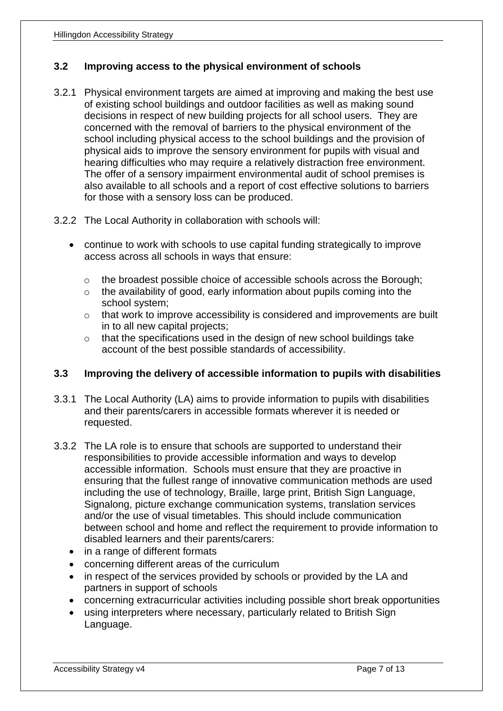## **3.2 Improving access to the physical environment of schools**

- 3.2.1 Physical environment targets are aimed at improving and making the best use of existing school buildings and outdoor facilities as well as making sound decisions in respect of new building projects for all school users. They are concerned with the removal of barriers to the physical environment of the school including physical access to the school buildings and the provision of physical aids to improve the sensory environment for pupils with visual and hearing difficulties who may require a relatively distraction free environment. The offer of a sensory impairment environmental audit of school premises is also available to all schools and a report of cost effective solutions to barriers for those with a sensory loss can be produced.
- 3.2.2 The Local Authority in collaboration with schools will:
	- continue to work with schools to use capital funding strategically to improve access across all schools in ways that ensure:
		- o the broadest possible choice of accessible schools across the Borough;
		- $\circ$  the availability of good, early information about pupils coming into the school system;
		- o that work to improve accessibility is considered and improvements are built in to all new capital projects;
		- o that the specifications used in the design of new school buildings take account of the best possible standards of accessibility.

## **3.3 Improving the delivery of accessible information to pupils with disabilities**

- 3.3.1 The Local Authority (LA) aims to provide information to pupils with disabilities and their parents/carers in accessible formats wherever it is needed or requested.
- 3.3.2 The LA role is to ensure that schools are supported to understand their responsibilities to provide accessible information and ways to develop accessible information. Schools must ensure that they are proactive in ensuring that the fullest range of innovative communication methods are used including the use of technology, Braille, large print, British Sign Language, Signalong, picture exchange communication systems, translation services and/or the use of visual timetables. This should include communication between school and home and reflect the requirement to provide information to disabled learners and their parents/carers:
	- in a range of different formats
	- concerning different areas of the curriculum
	- in respect of the services provided by schools or provided by the LA and partners in support of schools
	- concerning extracurricular activities including possible short break opportunities
	- using interpreters where necessary, particularly related to British Sign Language.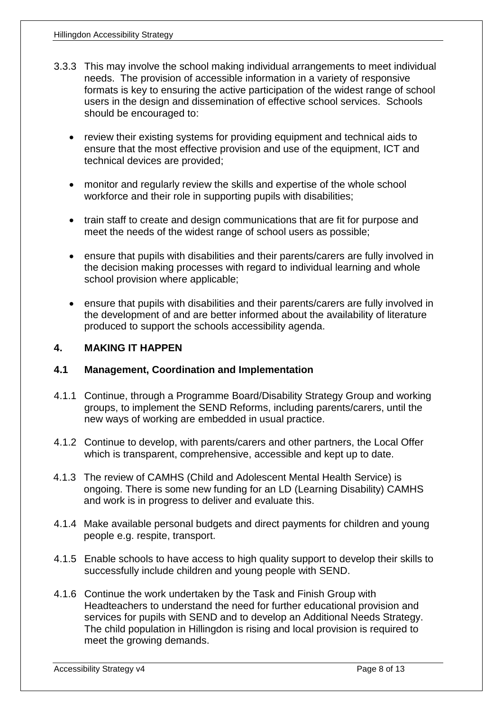- 3.3.3 This may involve the school making individual arrangements to meet individual needs. The provision of accessible information in a variety of responsive formats is key to ensuring the active participation of the widest range of school users in the design and dissemination of effective school services. Schools should be encouraged to:
	- review their existing systems for providing equipment and technical aids to ensure that the most effective provision and use of the equipment, ICT and technical devices are provided;
	- monitor and regularly review the skills and expertise of the whole school workforce and their role in supporting pupils with disabilities;
	- train staff to create and design communications that are fit for purpose and meet the needs of the widest range of school users as possible;
	- ensure that pupils with disabilities and their parents/carers are fully involved in the decision making processes with regard to individual learning and whole school provision where applicable;
	- ensure that pupils with disabilities and their parents/carers are fully involved in the development of and are better informed about the availability of literature produced to support the schools accessibility agenda.

## **4. MAKING IT HAPPEN**

### **4.1 Management, Coordination and Implementation**

- 4.1.1 Continue, through a Programme Board/Disability Strategy Group and working groups, to implement the SEND Reforms, including parents/carers, until the new ways of working are embedded in usual practice.
- 4.1.2 Continue to develop, with parents/carers and other partners, the Local Offer which is transparent, comprehensive, accessible and kept up to date.
- 4.1.3 The review of CAMHS (Child and Adolescent Mental Health Service) is ongoing. There is some new funding for an LD (Learning Disability) CAMHS and work is in progress to deliver and evaluate this.
- 4.1.4 Make available personal budgets and direct payments for children and young people e.g. respite, transport.
- 4.1.5 Enable schools to have access to high quality support to develop their skills to successfully include children and young people with SEND.
- 4.1.6 Continue the work undertaken by the Task and Finish Group with Headteachers to understand the need for further educational provision and services for pupils with SEND and to develop an Additional Needs Strategy. The child population in Hillingdon is rising and local provision is required to meet the growing demands.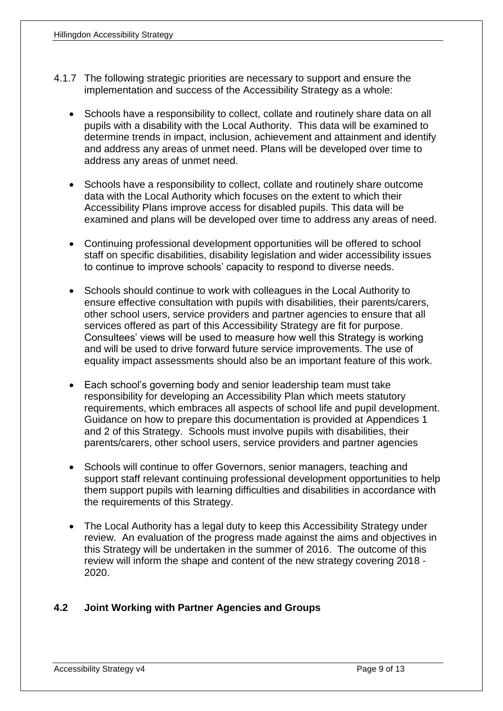- 4.1.7 The following strategic priorities are necessary to support and ensure the implementation and success of the Accessibility Strategy as a whole:
	- Schools have a responsibility to collect, collate and routinely share data on all pupils with a disability with the Local Authority. This data will be examined to determine trends in impact, inclusion, achievement and attainment and identify and address any areas of unmet need. Plans will be developed over time to address any areas of unmet need.
	- Schools have a responsibility to collect, collate and routinely share outcome data with the Local Authority which focuses on the extent to which their Accessibility Plans improve access for disabled pupils. This data will be examined and plans will be developed over time to address any areas of need.
	- Continuing professional development opportunities will be offered to school staff on specific disabilities, disability legislation and wider accessibility issues to continue to improve schools' capacity to respond to diverse needs.
	- Schools should continue to work with colleagues in the Local Authority to ensure effective consultation with pupils with disabilities, their parents/carers, other school users, service providers and partner agencies to ensure that all services offered as part of this Accessibility Strategy are fit for purpose. Consultees' views will be used to measure how well this Strategy is working and will be used to drive forward future service improvements. The use of equality impact assessments should also be an important feature of this work.
	- Each school's governing body and senior leadership team must take responsibility for developing an Accessibility Plan which meets statutory requirements, which embraces all aspects of school life and pupil development. Guidance on how to prepare this documentation is provided at Appendices 1 and 2 of this Strategy. Schools must involve pupils with disabilities, their parents/carers, other school users, service providers and partner agencies
	- Schools will continue to offer Governors, senior managers, teaching and support staff relevant continuing professional development opportunities to help them support pupils with learning difficulties and disabilities in accordance with the requirements of this Strategy.
	- The Local Authority has a legal duty to keep this Accessibility Strategy under review. An evaluation of the progress made against the aims and objectives in this Strategy will be undertaken in the summer of 2016. The outcome of this review will inform the shape and content of the new strategy covering 2018 - 2020.

## **4.2 Joint Working with Partner Agencies and Groups**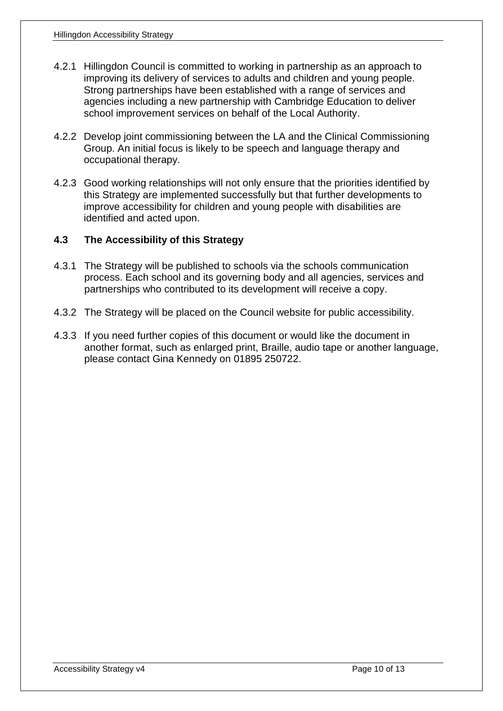- 4.2.1 Hillingdon Council is committed to working in partnership as an approach to improving its delivery of services to adults and children and young people. Strong partnerships have been established with a range of services and agencies including a new partnership with Cambridge Education to deliver school improvement services on behalf of the Local Authority.
- 4.2.2 Develop joint commissioning between the LA and the Clinical Commissioning Group. An initial focus is likely to be speech and language therapy and occupational therapy.
- 4.2.3 Good working relationships will not only ensure that the priorities identified by this Strategy are implemented successfully but that further developments to improve accessibility for children and young people with disabilities are identified and acted upon.

### **4.3 The Accessibility of this Strategy**

- 4.3.1 The Strategy will be published to schools via the schools communication process. Each school and its governing body and all agencies, services and partnerships who contributed to its development will receive a copy.
- 4.3.2 The Strategy will be placed on the Council website for public accessibility.
- 4.3.3 If you need further copies of this document or would like the document in another format, such as enlarged print, Braille, audio tape or another language, please contact Gina Kennedy on 01895 250722.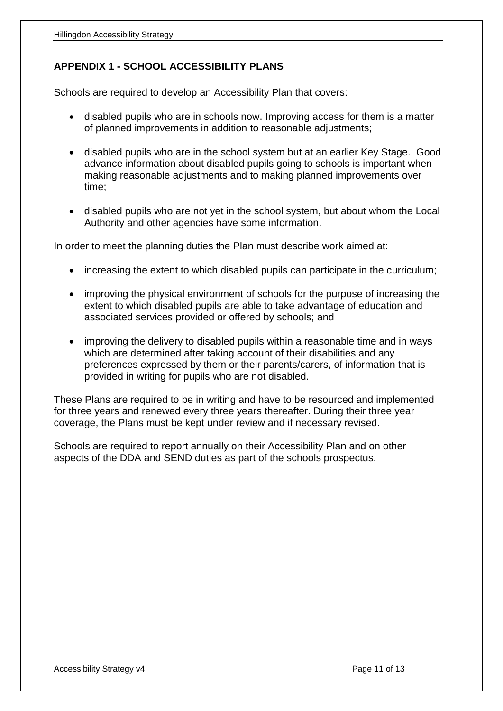# **APPENDIX 1 - SCHOOL ACCESSIBILITY PLANS**

Schools are required to develop an Accessibility Plan that covers:

- disabled pupils who are in schools now. Improving access for them is a matter of planned improvements in addition to reasonable adjustments;
- disabled pupils who are in the school system but at an earlier Key Stage. Good advance information about disabled pupils going to schools is important when making reasonable adjustments and to making planned improvements over time;
- disabled pupils who are not yet in the school system, but about whom the Local Authority and other agencies have some information.

In order to meet the planning duties the Plan must describe work aimed at:

- increasing the extent to which disabled pupils can participate in the curriculum;
- improving the physical environment of schools for the purpose of increasing the extent to which disabled pupils are able to take advantage of education and associated services provided or offered by schools; and
- improving the delivery to disabled pupils within a reasonable time and in ways which are determined after taking account of their disabilities and any preferences expressed by them or their parents/carers, of information that is provided in writing for pupils who are not disabled.

These Plans are required to be in writing and have to be resourced and implemented for three years and renewed every three years thereafter. During their three year coverage, the Plans must be kept under review and if necessary revised.

Schools are required to report annually on their Accessibility Plan and on other aspects of the DDA and SEND duties as part of the schools prospectus.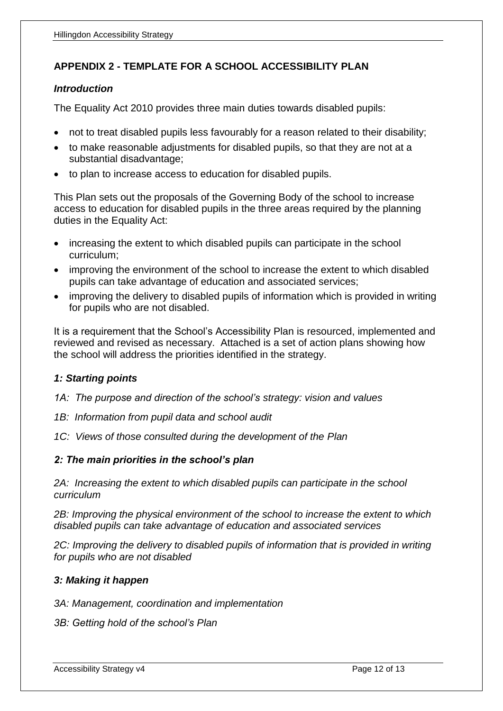# **APPENDIX 2 - TEMPLATE FOR A SCHOOL ACCESSIBILITY PLAN**

#### *Introduction*

The Equality Act 2010 provides three main duties towards disabled pupils:

- not to treat disabled pupils less favourably for a reason related to their disability;
- to make reasonable adjustments for disabled pupils, so that they are not at a substantial disadvantage;
- to plan to increase access to education for disabled pupils.

This Plan sets out the proposals of the Governing Body of the school to increase access to education for disabled pupils in the three areas required by the planning duties in the Equality Act:

- increasing the extent to which disabled pupils can participate in the school curriculum;
- improving the environment of the school to increase the extent to which disabled pupils can take advantage of education and associated services;
- improving the delivery to disabled pupils of information which is provided in writing for pupils who are not disabled.

It is a requirement that the School's Accessibility Plan is resourced, implemented and reviewed and revised as necessary. Attached is a set of action plans showing how the school will address the priorities identified in the strategy.

### *1: Starting points*

*1A: The purpose and direction of the school's strategy: vision and values*

- *1B: Information from pupil data and school audit*
- *1C: Views of those consulted during the development of the Plan*

### *2: The main priorities in the school's plan*

2A: Increasing the extent to which disabled pupils can participate in the school *curriculum*

2B: Improving the physical environment of the school to increase the extent to which *disabled pupils can take advantage of education and associated services*

*2C: Improving the delivery to disabled pupils of information that is provided in writing for pupils who are not disabled*

### *3: Making it happen*

*3A: Management, coordination and implementation*

*3B: Getting hold of the school's Plan*